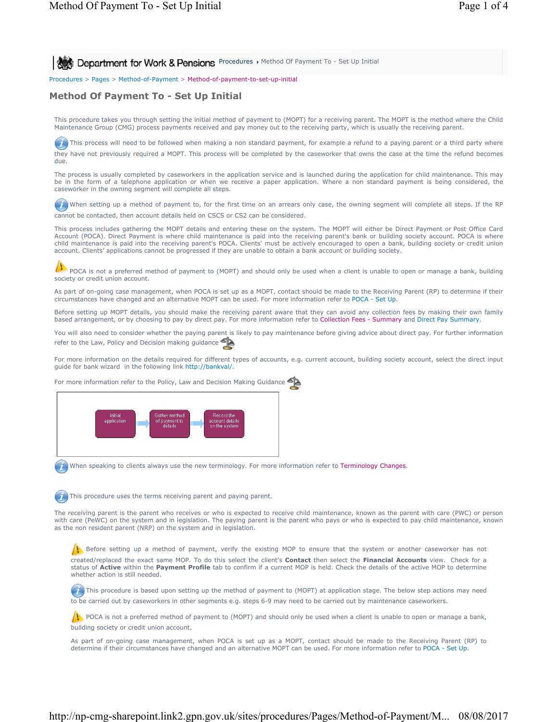**All Act Department for Work & Pensions** Procedures Method Of Payment To - Set Up Initial

Procedures > Pages > Method-of-Payment > Method-of-payment-to-set-up-initial

## **Method Of Payment To - Set Up Initial**

This procedure takes you through setting the initial method of payment to (MOPT) for a receiving parent. The MOPT is the method where the Child Maintenance Group (CMG) process payments received and pay money out to the receiving party, which is usually the receiving parent.

This process will need to be followed when making a non standard payment, for example a refund to a paying parent or a third party where they have not previously required a MOPT. This process will be completed by the caseworker that owns the case at the time the refund becomes due.

The process is usually completed by caseworkers in the application service and is launched during the application for child maintenance. This may be in the form of a telephone application or when we receive a paper application. Where a non standard payment is being considered, the caseworker in the owning segment will complete all steps.

When setting up a method of payment to, for the first time on an arrears only case, the owning segment will complete all steps. If the RP cannot be contacted, then account details held on CSCS or CS2 can be considered.

This process includes gathering the MOPT details and entering these on the system. The MOPT will either be Direct Payment or Post Office Card Account (POCA). Direct Payment is where child maintenance is paid into the receiving parent's bank or building society account. POCA is where child maintenance is paid into the receiving parent's POCA. Clients' must be actively encouraged to open a bank, building society or credit union account. Clients' applications cannot be progressed if they are unable to obtain a bank account or building society.

POCA is not a preferred method of payment to (MOPT) and should only be used when a client is unable to open or manage a bank, building society or credit union account.

As part of on-going case management, when POCA is set up as a MOPT, contact should be made to the Receiving Parent (RP) to determine if their circumstances have changed and an alternative MOPT can be used. For more information refer to POCA - Set Up.

Before setting up MOPT details, you should make the receiving parent aware that they can avoid any collection fees by making their own family based arrangement, or by choosing to pay by direct pay. For more information refer to Collection Fees - Summary and Direct Pay Summary.

You will also need to consider whether the paying parent is likely to pay maintenance before giving advice about direct pay. For further information refer to the Law, Policy and Decision making guidance

For more information on the details required for different types of accounts, e.g. current account, building society account, select the direct input guide for bank wizard in the following link http://bankval/.

For more information refer to the Policy, Law and Decision Making Guidance



When speaking to clients always use the new terminology. For more information refer to Terminology Changes.



The receiving parent is the parent who receives or who is expected to receive child maintenance, known as the parent with care (PWC) or person with care (PeWC) on the system and in legislation. The paying parent is the parent who pays or who is expected to pay child maintenance, known as the non resident parent (NRP) on the system and in legislation.

Before setting up a method of payment, verify the existing MOP to ensure that the system or another caseworker has not created/replaced the exact same MOP. To do this select the client's **Contact** then select the **Financial Accounts** view. Check for a status of **Active** within the **Payment Profile** tab to confirm if a current MOP is held. Check the details of the active MOP to determine whether action is still needed.

This procedure is based upon setting up the method of payment to (MOPT) at application stage. The below step actions may need to be carried out by caseworkers in other segments e.g. steps 6-9 may need to be carried out by maintenance caseworkers.

POCA is not a preferred method of payment to (MOPT) and should only be used when a client is unable to open or manage a bank, building society or credit union account.

As part of on-going case management, when POCA is set up as a MOPT, contact should be made to the Receiving Parent (RP) to determine if their circumstances have changed and an alternative MOPT can be used. For more information refer to POCA - Set Up.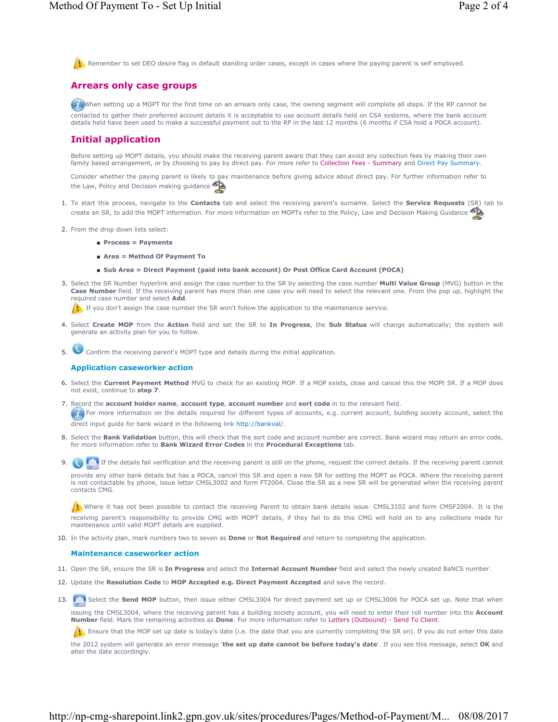Remember to set DEO desire flag in default standing order cases, except in cases where the paying parent is self employed.

## **Arrears only case groups**

When setting up a MOPT for the first time on an arrears only case, the owning segment will complete all steps. If the RP cannot be contacted to gather their preferred account details it is acceptable to use account details held on CSA systems, where the bank account details held have been used to make a successful payment out to the RP in the last 12 months (6 months if CSA hold a POCA account).

# **Initial application**

Before setting up MOPT details, you should make the receiving parent aware that they can avoid any collection fees by making their own family based arrangement, or by choosing to pay by direct pay. For more refer to Collection Fees - Summary and Direct Pay Summary.

Consider whether the paying parent is likely to pay maintenance before giving advice about direct pay. For further information refer to the Law, Policy and Decision making guidance

- 1. To start this process, navigate to the **Contacts** tab and select the receiving parent's surname. Select the **Service Requests** (SR) tab to create an SR, to add the MOPT information. For more information on MOPTs refer to the Policy, Law and Decision Making Guidance
- 2. From the drop down lists select:
	- **Process = Payments**
	- **Area = Method Of Payment To**
	- Sub Area = Direct Payment (paid into bank account) Or Post Office Card Account (POCA)
- 3. Select the SR Number hyperlink and assign the case number to the SR by selecting the case number **Multi Value Group** (MVG) button in the **Case Number** field. If the receiving parent has more than one case you will need to select the relevant one. From the pop up, highlight the required case number and select **Add**.

If you don't assign the case number the SR won't follow the application to the maintenance service.

- 4. Select Create MOP from the Action field and set the SR to In Progress, the Sub Status will change automatically; the system will generate an activity plan for you to follow.
- 5. Confirm the receiving parent's MOPT type and details during the initial application.

## **Application caseworker action**

- 6. Select the **Current Payment Method** MVG to check for an existing MOP. If a MOP exists, close and cancel this the MOPt SR. If a MOP does not exist, continue to **step 7**.
- 7. Record the **account holder name, account type, account number and sort code in to the relevant field.** For more information on the details required for different types of accounts, e.g. current account, building society account, select the direct input guide for bank wizard in the following link http://bankval/.
- 8. Select the Bank Validation button, this will check that the sort code and account number are correct. Bank wizard may return an error code, for more information refer to **Bank Wizard Error Codes** in the **Procedural Exceptions** tab.
- 9. **If the details fail verification and the receiving parent is still on the phone, request the correct details. If the receiving parent cannot**

provide any other bank details but has a POCA, cancel this SR and open a new SR for setting the MOPT as POCA. Where the receiving parent is not contactable by phone, issue letter CMSL3002 and form FT2004. Close the SR as a new SR will be generated when the receiving parent contacts CMG.

Where it has not been possible to contact the receiving Parent to obtain bank details issue CMSL3102 and form CMSF2004. It is the receiving parent's responsibility to provide CMG with MOPT details, if they fail to do this CMG will hold on to any collections made for maintenance until valid MOPT details are supplied.

10. In the activity plan, mark numbers two to seven as **Done** or **Not Required** and return to completing the application.

## **Maintenance caseworker action**

- 11. Open the SR, ensure the SR is **In Progress** and select the **Internal Account Number** field and select the newly created BaNCS number.
- 12. Update the **Resolution Code** to **MOP Accepted e.g. Direct Payment Accepted** and save the record.
- 13. Select the **Send MOP** button, then issue either CMSL3004 for direct payment set up or CMSL3006 for POCA set up. Note that when

issuing the CMSL3004, where the receiving parent has a building society account, you will need to enter their roll number into the **Account Number** field. Mark the remaining activities as **Done**. For more information refer to Letters (Outbound) - Send To Client.

**E** Ensure that the MOP set up date is today's date (i.e. the date that you are currently completing the SR on). If you do not enter this date

the 2012 system will generate an error message '**the set up date cannot be before today's date**'. If you see this message, select **OK** and alter the date accordingly.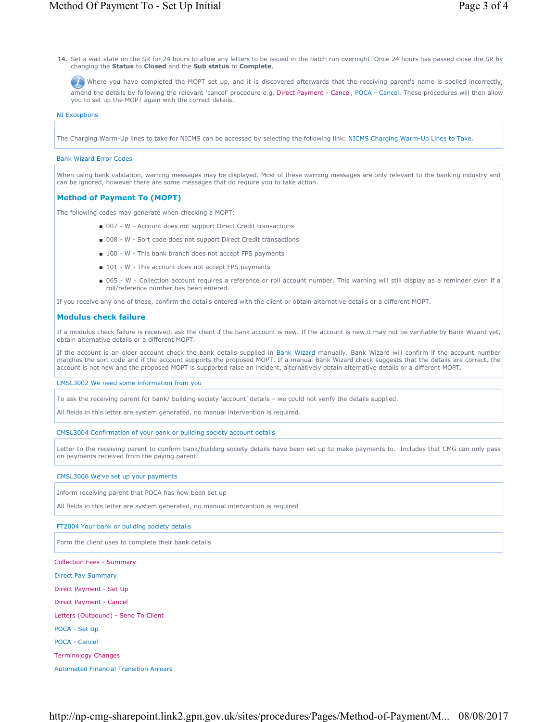14. Set a wait state on the SR for 24 hours to allow any letters to be issued in the batch run overnight. Once 24 hours has passed close the SR by changing the **Status** to **Closed** and the **Sub status** to **Complete**.

Where you have completed the MOPT set up, and it is discovered afterwards that the receiving parent's name is spelled incorrectly, amend the details by following the relevant 'cancel' procedure e.g. Direct Payment - Cancel, POCA - Cancel. These procedures will then allow you to set up the MOPT again with the correct details.

### NI Exceptions

The Charging Warm-Up lines to take for NICMS can be accessed by selecting the following link: NICMS Charging Warm-Up Lines to Take.

## Bank Wizard Error Codes

When using bank validation, warning messages may be displayed. Most of these warning messages are only relevant to the banking industry and can be ignored, however there are some messages that do require you to take action.

## **Method of Payment To (MOPT)**

The following codes may generate when checking a MOPT:

- 007 W Account does not support Direct Credit transactions
- 008 W Sort code does not support Direct Credit transactions
- 100 W This bank branch does not accept FPS payments
- 101 W This account does not accept FPS payments
- 065 W Collection account requires a reference or roll account number. This warning will still display as a reminder even if a roll/reference number has been entered.

If you receive any one of these, confirm the details entered with the client or obtain alternative details or a different MOPT.

### **Modulus check failure**

If a modulus check failure is received, ask the client if the bank account is new. If the account is new it may not be verifiable by Bank Wizard yet, obtain alternative details or a different MOPT.

If the account is an older account check the bank details supplied in Bank Wizard manually. Bank Wizard will confirm if the account number matches the sort code and if the account supports the proposed MOPT. If a manual Bank Wizard check suggests that the details are correct, the account is not new and the proposed MOPT is supported raise an incident, alternatively obtain alternative details or a different MOPT.

#### CMSL3002 We need some information from you

To ask the receiving parent for bank/ building society 'account' details – we could not verify the details supplied.

All fields in this letter are system generated, no manual intervention is required.

#### CMSL3004 Confirmation of your bank or building society account details

Letter to the receiving parent to confirm bank/building society details have been set up to make payments to. Includes that CMG can only pass on payments received from the paying parent.

### CMSL3006 We've set up your payments

Inform receiving parent that POCA has now been set up

All fields in this letter are system generated, no manual intervention is required

#### FT2004 Your bank or building society details

Form the client uses to complete their bank details

Collection Fees - Summary Direct Pay Summary Direct Payment - Set Up Direct Payment - Cancel Letters (Outbound) - Send To Client POCA - Set Up POCA - Cancel

Terminology Changes

Automated Financial Transition Arrears